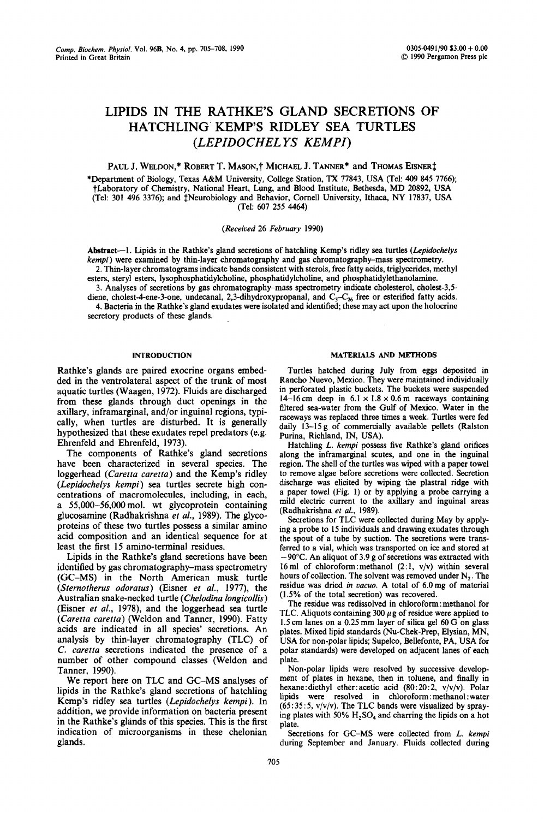# **LIPIDS IN THE RATHKE'S GLAND SECRETIONS OF HATCHLING KEMP'S RIDLEY SEA TURTLES**  *(LEPIDOCHEL YS KEMPI)*

PAUL J. WELDON,\* ROBERT T. MASON,† MICHAEL J. TANNER\* and THOMAS EISNER<sup>†</sup>

\*Department of Biology, Texas A&M University, College Station, TX 77843, USA (Tel: 409 845 7766); tLaboratory of Chemistry, National Heart, Lung, and Blood Institute, Bethesda, MD 20892, USA (Tel: 301 496 3376); and <sup>†</sup>Neurobiology and Behavior, Cornell University, Ithaca, NY 17837, USA (Tel: 607 255 4464)

# *(Received* 26 *February* 1990)

Abstract--1. Lipids in the Rathke's gland secretions of hatchling Kemp's ridley sea turtles *(Lepidochelys kempi)* were examined by thin-layer chromatography and gas chromatography-mass spectrometry. 2. Thin-layer chromatograms indicate bands consistent with sterols, free fatty acids, triglycerides, methyl

esters, steryl esters, lysophosphatidylcholine, phosphatidylcholine, and phosphatidylethanolamine. 3. Analyses of secretions by gas chromatography-mass spectrometry indicate cholesterol, cholest-3,5-

diene, cholest-4-ene-3-one, undecanal, 2,3-dihydroxypropanal, and  $C_3-C_{26}$  free or esterified fatty acids. 4. Bacteria in the Rathke's gland exudates were isolated and identified; these may act upon the holocrine secretory products of these glands.

Rathke's glands are paired exocrine organs embedded in the ventrolateral aspect of the trunk of most aquatic turtles (Waagen, 1972). Fluids are discharged from these glands through duct openings in the axillary, inframarginal, and/or inguinal regions, typically, when turtles are disturbed. It is generally hypothesized that these exudates repel predators (e.g. Ehrenfeld and Ehrenfeld, 1973).

The components of Rathke's gland secretions have been characterized in several species. The loggerhead *(Caretta caretta)* and the Kemp's ridley *(Lepidochelys kempi)* sea turtles secrete high concentrations of macromolecules, including, in each, a 55,000-56,000mol. wt glycoprotein containing glucosamine (Radhakrishna *et al.,* 1989). The glycoproteins of these two turtles possess a similar amino acid composition and an identical sequence for at least the first 15 amino-terminal residues.

Lipids in the Rathke's gland secretions have been identified by gas chromatography-mass spectrometry (GC-MS) in the North American musk turtle *(Sternotherus odoratus)* (Eisner *et al.,* 1977), the Australian snake-necked turtle *(Chelodina longicollis)*  (Eisner *et al.,* 1978), and the loggerhead sea turtle *(Caretta caretta)* (Weldon and Tanner, 1990). Fatty acids are indicated in all species' secretions. An analysis by thin-layer chromatography (TLC) of *C. caretta* secretions indicated the presence of a number of other compound classes (Weldon and Tanner, 1990).

We report here on TLC and GC-MS analyses of lipids in the Rathke's gland secretions of hatchling Kemp's ridley sea turtles *(Lepidochelys kempi).* In addition, we provide information on bacteria present in the Rathke's glands of this species. This is the first indication of microorganisms in these chelonian glands.

## **INTRODUCTION** MATERIALS AND METHODS

Turtles hatched during July from eggs deposited in Rancho Nuevo, Mexico. They were maintained individually in perforated plastic buckets. The buckets were suspended 14-16 cm deep in  $6.1 \times 1.8 \times 0.6$  m raceways containing filtered sea-water from the Gulf of Mexico. Water in the raceways was replaced three times a week. Turtles were fed daily 13-15 g of commercially available pellets (Ralston Purina, Richland, IN, USA).

Hatchling *L. kempi* possess five Rathke's gland orifices along the inframarginal scutes, and one in the inguinal region. The shell of the turtles was wiped with a paper towel to remove algae before secretions were collected. Secretion discharge was elicited by wiping the plastral ridge with a paper towel (Fig. 1) or by applying a probe carrying a mild electric current to the axillary and inguinal areas (Radhakrishna *et al.,* 1989).

Secretions for TLC were collected during May by applying a probe to 15 individuals and drawing exudates through the spout of a tube by suction. The secretions were transferred to a vial, which was transported on ice and stored at **-90°C.** An aliquot of 3.9 g of secretions was extracted with 16 ml of chloroform: methanol  $(2:1, v/v)$  within several hours of collection. The solvent was removed under  $N_2$ . The residue was dried *in vacuo.* A total of 6.0 mg of material (1.5% of the total secretion) was recovered.

The residue was redissolved in chloroform:methanol for TLC. Aliquots containing 300  $\mu$ g of residue were applied to 1.5 cm lanes on a 0.25 mm layer of silica gel 60 G on glass plates. Mixed lipid standards (Nu-Chek-Prep, Elysian, MN, USA for non-polar lipids; Supelco, Bellefonte, PA, USA for polar standards) were developed on adjacent lanes of each plate.

Non-polar lipids were resolved by successive development of plates in hexane, then in toluene, and finally in hexane: diethyl ether: acetic acid (80:20:2, v/v/v). Polar lipids were resolved in chloroform:methanol:water  $(65:35:5, v/v/v)$ . The TLC bands were visualized by spraying plates with 50%  $H_2SO_4$  and charring the lipids on a hot plate.

Secretions for GC-MS were collected from *L. kempi*  during September and January. Fluids collected during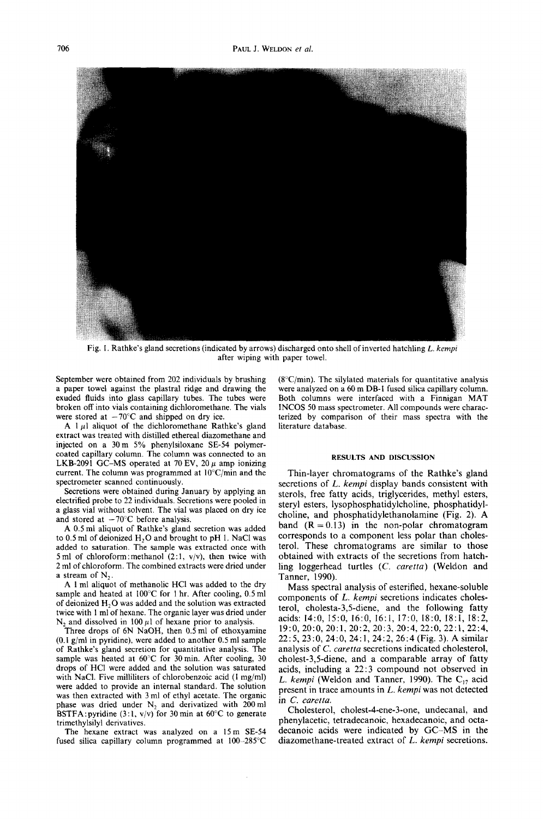

Fig. I. Rathke's gland secretions (indicated by arrows) discharged onto shell of inverted hatchling *L. kempi*  after wiping with paper towel.

September were obtained from 202 individuals by brushing a paper towel against the plastral ridge and drawing the exuded fluids into glass capillary tubes. The tubes were broken off into vials containing dichloromethane. The vials were stored at  $-70^{\circ}$ C and shipped on dry ice.

A  $1 \mu$ l aliquot of the dichloromethane Rathke's gland extract was treated with distilled ethereal diazomethane and injected on a 30m 5% phenylsiloxane SE-54 polymercoated capillary column. The column was connected to an LKB-2091 GC-MS operated at 70 EV, 20  $\mu$  amp ionizing current. The column was programmed at  $10^{\circ}$ C/min and the spectrometer scanned continuously.

Secretions were obtained during January by applying an electrified probe to 22 individuals. Secretions were pooled in a glass vial without solvent. The vial was placed on dry ice and stored at  $-70^{\circ}$ C before analysis.

A 0.5 ml aliquot of Rathke's gland secretion was added to  $0.5$  ml of deionized  $H<sub>2</sub>O$  and brought to pH 1. NaCl was added to saturation. The sample was extracted once with 5 ml of chloroform: methanol  $(2:1, v/v)$ , then twice with 2 ml of chloroform. The combined extracts were dried under a stream of  $N_2$ .

A 1 ml aliquot of methanolic HC1 was added to the dry sample and heated at 100°C for 1 hr, After cooling, 0.5 ml of deionized  $H_2O$  was added and the solution was extracted twice with 1 ml of hexane. The organic layer was dried under  $N_2$  and dissolved in 100  $\mu$ 1 of hexane prior to analysis.

Three drops of 6N NaOH, then  $0.5$  ml of ethoxyamine (0.1 g/ml in pyridine), were added to another 0.5 ml sample of Rathke's gland secretion for quantitative analysis. The sample was heated at  $60^{\circ}$ C for 30 min. After cooling, 30 drops of HCI were added and the solution was saturated with NaCI. Five milliliters of chlorobenzoic acid (1 mg/ml) were added to provide an internal standard. The solution was then extracted with 3 ml of ethyl acetate. The organic phase was dried under  $N_2$  and derivatized with 200 ml BSTFA: pyridine  $(3:1, v/v)$  for 30 min at 60°C to generate trimethylsilyl derivatives.

The hexane extract was analyzed on a 15m SE-54 fused silica capillary column programmed at 100-285°C  $(8^{\circ}C/\text{min})$ . The silylated materials for quantitative analysis were analyzed on a 60 m DB-1 fused silica capillary column. Both columns were interfaced with a Finnigan MAT INCOS 50 mass spectrometer. All compounds were characterized by comparison of their mass spectra with the literature database.

### RESULTS AND DISCUSSION

Thin-layer chromatograms of the Rathke's gland secretions of *L. kempi* display bands consistent with sterols, free fatty acids, triglycerides, methyl esters, steryl esters, lysophosphatidylcholine, phosphatidylcholine, and phosphatidylethanolamine (Fig. 2). A band  $(R = 0.13)$  in the non-polar chromatogram corresponds to a component less polar than cholesterol. These chromatograms are similar to those obtained with extracts of the secretions from hatchling loggerhead turtles *(C. earetta)* (Weldon and Tanner, 1990).

Mass spectral analysis of esterified, hexane-soluble components of *L. kempi* secretions indicates cholesterol, cholesta-3,5-diene, and the following fatty acids: 14:0, 15:0, 16:0, 16:1, 17:0, 18:0, 18:1, 18:2, 19:0, 20:0, 20:1, 20:2, 20:3, 20:4, 22:0, 22:1, 22:4, 22 : 5, 23 : 0, 24: 0, 24:1, 24: 2, 26: 4 (Fig. 3). A similar analysis of *C. caretta* secretions indicated cholesterol, cholest-3,5-diene, and a comparable array of fatty acids, including a 22:3 compound not observed in *L. kempi* (Weldon and Tanner, 1990). The  $C_{17}$  acid present in trace amounts in *L. kempi* was not detected in *C. caretta.* 

Cholesterol, cholest-4-ene-3-one, undecanal, and phenylacetic, tetradecanoic, hexadecanoic, and octadecanoic acids were indicated by GC-MS in the diazomethane-treated extract of *L. kempi* secretions.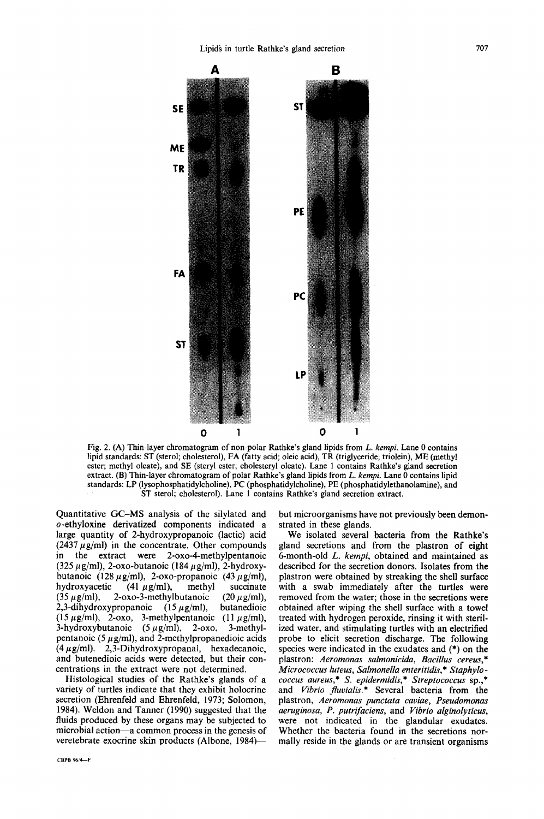

Fig. 2. (A) Thin-layer chromatogram of non-polar Rathke's gland lipids from *L. kempi.* Lane 0 contains lipid standards: ST (sterol; cholesterol), FA (fatty acid; oleic acid), TR (triglyceride; triolein), ME (methyl ester; methyl oleate), and SE (steryl ester; cholesteryl oleate). Lane 1 contains Rathke's gland secretion extract. (B) Thin-layer chromatogram of polar Rathke's gland lipids from *L. kempi.* Lane 0 contains lipid standards: LP (lysophosphatidylcholine), PC (phosphatidylcholine), PE (phosphatidylethanolamine), and ST sterol; cholesterol). Lane 1 contains Rathke's gland secretion extract.

Quantitative GC-MS analysis of the silylated and o-ethyloxine derivatized components indicated a large quantity of 2-hydroxypropanoic (lactic) acid (2437  $\mu$ g/ml) in the concentrate. Other compounds in the extract were 2-oxo-4-methylpentanoic (325  $\mu$ g/ml), 2-oxo-butanoic (184  $\mu$ g/ml), 2-hydroxybutanoic (128  $\mu$ g/ml), 2-oxo-propanoic (43  $\mu$ g/ml), hydroxyacetic (41  $\mu$  g/ml), methyl succinate (35  $\mu$ g/ml), 2-oxo-3-methylbutanoic (20  $\mu$ g/ml), 2,3-dihydroxypropanoic  $(15~\mu g/ml)$ , butanedioic (15  $\mu$ g/ml), 2-oxo, 3-methylpentanoic (11  $\mu$ g/ml), 3-hydroxybutanoic  $(5~\mu$ g/ml), 2-oxo, 3-methylpentanoic (5  $\mu$ g/ml), and 2-methylpropanedioic acids  $(4 \mu g/ml)$ . 2,3-Dihydroxypropanal, hexadecanoic, and butenedioic acids were detected, but their concentrations in the extract were not determined.

Histological studies of the Rathke's glands of a variety of turtles indicate that they exhibit holocrine secretion (Ehrenfeld and Ehrenfeld, 1973; Solomon, 1984). Weldon and Tanner (1990) suggested that the fluids produced by these organs may be subjected to microbial action—a common process in the genesis of veretebrate exocrine skin products (Albone, 1984)-

but microorganisms have not previously been demonstrated in these glands.

We isolated several bacteria from the Rathke's gland secretions and from the plastron of eight 6-month-old *L. kempi,* obtained and maintained as described for the secretion donors. Isolates from the plastron were obtained by streaking the shell surface with a swab immediately after the turtles were removed from the water; those in the secretions were obtained after wiping the shell surface with a towel treated with hydrogen peroxide, rinsing it with sterilized water, and stimulating turtles with an electrified probe to elicit secretion discharge. The following species were indicated in the exudates and (\*) on the plastron: *Aeromonas salmonicida, Bacillus cereus,\* Micrococcus luteus, Salmonella enteritidis,\* Staphylococcus aureus,\* S. epidermidis,\* Streptococcus* sp.,\* and *Vibrio fluvialis.\** Several bacteria from the plastron, *Aeromonas punctata caviae, Pseudomonas aeruginosa, P. putrifaciens,* and *Vibrio alginolyticus,*  were not indicated in the glandular exudates. Whether the bacteria found in the secretions normally reside in the glands or are transient organisms